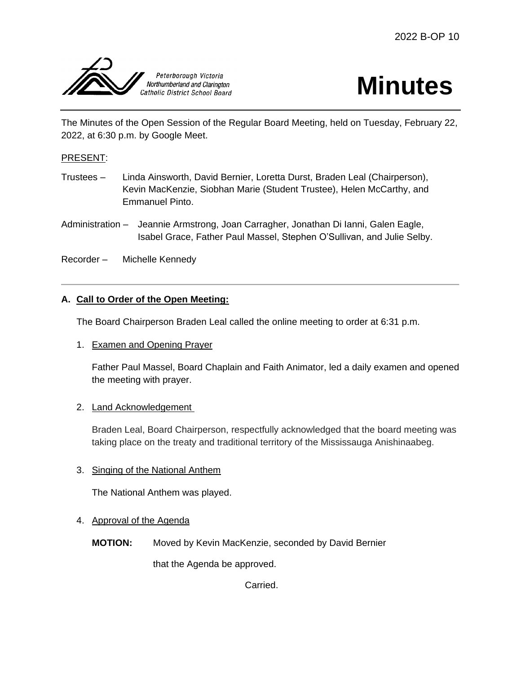



The Minutes of the Open Session of the Regular Board Meeting, held on Tuesday, February 22, 2022, at 6:30 p.m. by Google Meet.

## PRESENT:

- Trustees Linda Ainsworth, David Bernier, Loretta Durst, Braden Leal (Chairperson), Kevin MacKenzie, Siobhan Marie (Student Trustee), Helen McCarthy, and Emmanuel Pinto.
- Administration Jeannie Armstrong, Joan Carragher, Jonathan Di Ianni, Galen Eagle, Isabel Grace, Father Paul Massel, Stephen O'Sullivan, and Julie Selby.

Recorder – Michelle Kennedy

# **A. Call to Order of the Open Meeting:**

The Board Chairperson Braden Leal called the online meeting to order at 6:31 p.m.

1. Examen and Opening Prayer

Father Paul Massel, Board Chaplain and Faith Animator, led a daily examen and opened the meeting with prayer.

## 2. Land Acknowledgement

Braden Leal, Board Chairperson, respectfully acknowledged that the board meeting was taking place on the treaty and traditional territory of the Mississauga Anishinaabeg.

## 3. Singing of the National Anthem

The National Anthem was played.

#### 4. Approval of the Agenda

**MOTION:** Moved by Kevin MacKenzie, seconded by David Bernier

that the Agenda be approved.

Carried.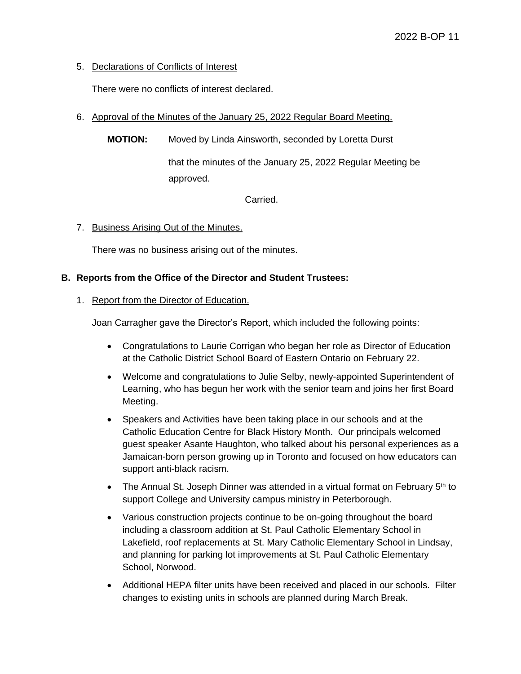# 5. Declarations of Conflicts of Interest

There were no conflicts of interest declared.

- 6. Approval of the Minutes of the January 25, 2022 Regular Board Meeting.
	- **MOTION:** Moved by Linda Ainsworth, seconded by Loretta Durst

that the minutes of the January 25, 2022 Regular Meeting be approved.

Carried.

7. Business Arising Out of the Minutes.

There was no business arising out of the minutes.

# **B. Reports from the Office of the Director and Student Trustees:**

## 1. Report from the Director of Education.

Joan Carragher gave the Director's Report, which included the following points:

- Congratulations to Laurie Corrigan who began her role as Director of Education at the Catholic District School Board of Eastern Ontario on February 22.
- Welcome and congratulations to Julie Selby, newly-appointed Superintendent of Learning, who has begun her work with the senior team and joins her first Board Meeting.
- Speakers and Activities have been taking place in our schools and at the Catholic Education Centre for Black History Month. Our principals welcomed guest speaker Asante Haughton, who talked about his personal experiences as a Jamaican-born person growing up in Toronto and focused on how educators can support anti-black racism.
- The Annual St. Joseph Dinner was attended in a virtual format on February  $5<sup>th</sup>$  to support College and University campus ministry in Peterborough.
- Various construction projects continue to be on-going throughout the board including a classroom addition at St. Paul Catholic Elementary School in Lakefield, roof replacements at St. Mary Catholic Elementary School in Lindsay, and planning for parking lot improvements at St. Paul Catholic Elementary School, Norwood.
- Additional HEPA filter units have been received and placed in our schools. Filter changes to existing units in schools are planned during March Break.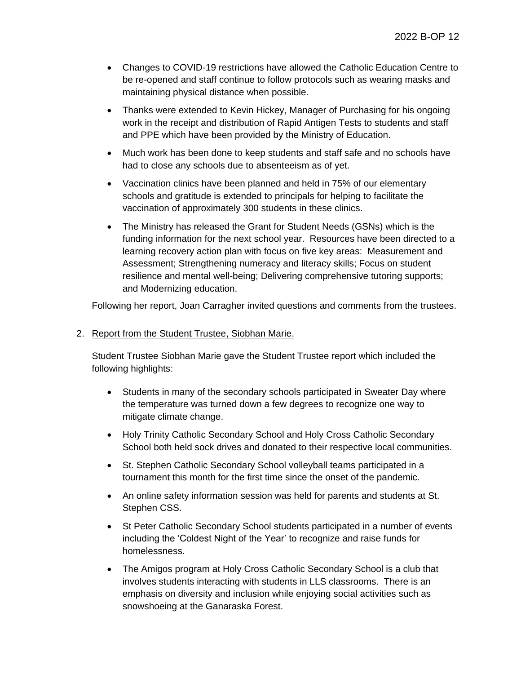- Changes to COVID-19 restrictions have allowed the Catholic Education Centre to be re-opened and staff continue to follow protocols such as wearing masks and maintaining physical distance when possible.
- Thanks were extended to Kevin Hickey, Manager of Purchasing for his ongoing work in the receipt and distribution of Rapid Antigen Tests to students and staff and PPE which have been provided by the Ministry of Education.
- Much work has been done to keep students and staff safe and no schools have had to close any schools due to absenteeism as of yet.
- Vaccination clinics have been planned and held in 75% of our elementary schools and gratitude is extended to principals for helping to facilitate the vaccination of approximately 300 students in these clinics.
- The Ministry has released the Grant for Student Needs (GSNs) which is the funding information for the next school year. Resources have been directed to a learning recovery action plan with focus on five key areas: Measurement and Assessment; Strengthening numeracy and literacy skills; Focus on student resilience and mental well-being; Delivering comprehensive tutoring supports; and Modernizing education.

Following her report, Joan Carragher invited questions and comments from the trustees.

2. Report from the Student Trustee, Siobhan Marie.

Student Trustee Siobhan Marie gave the Student Trustee report which included the following highlights:

- Students in many of the secondary schools participated in Sweater Day where the temperature was turned down a few degrees to recognize one way to mitigate climate change.
- Holy Trinity Catholic Secondary School and Holy Cross Catholic Secondary School both held sock drives and donated to their respective local communities.
- St. Stephen Catholic Secondary School volleyball teams participated in a tournament this month for the first time since the onset of the pandemic.
- An online safety information session was held for parents and students at St. Stephen CSS.
- St Peter Catholic Secondary School students participated in a number of events including the 'Coldest Night of the Year' to recognize and raise funds for homelessness.
- The Amigos program at Holy Cross Catholic Secondary School is a club that involves students interacting with students in LLS classrooms. There is an emphasis on diversity and inclusion while enjoying social activities such as snowshoeing at the Ganaraska Forest.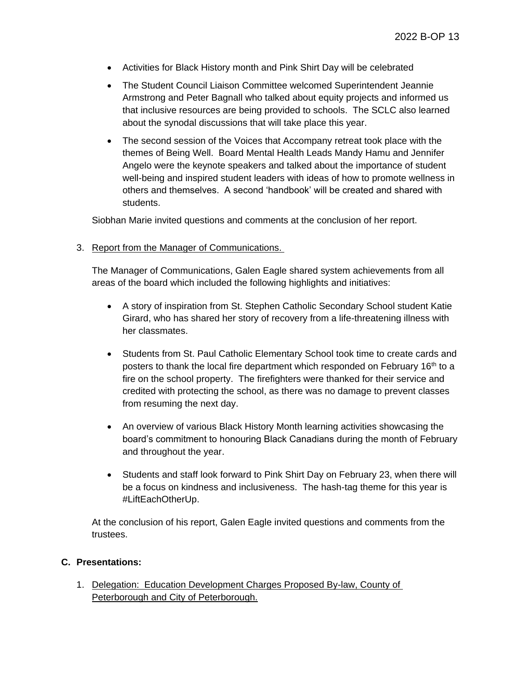- Activities for Black History month and Pink Shirt Day will be celebrated
- The Student Council Liaison Committee welcomed Superintendent Jeannie Armstrong and Peter Bagnall who talked about equity projects and informed us that inclusive resources are being provided to schools. The SCLC also learned about the synodal discussions that will take place this year.
- The second session of the Voices that Accompany retreat took place with the themes of Being Well. Board Mental Health Leads Mandy Hamu and Jennifer Angelo were the keynote speakers and talked about the importance of student well-being and inspired student leaders with ideas of how to promote wellness in others and themselves. A second 'handbook' will be created and shared with students.

Siobhan Marie invited questions and comments at the conclusion of her report.

3. Report from the Manager of Communications.

The Manager of Communications, Galen Eagle shared system achievements from all areas of the board which included the following highlights and initiatives:

- A story of inspiration from St. Stephen Catholic Secondary School student Katie Girard, who has shared her story of recovery from a life-threatening illness with her classmates.
- Students from St. Paul Catholic Elementary School took time to create cards and posters to thank the local fire department which responded on February 16<sup>th</sup> to a fire on the school property. The firefighters were thanked for their service and credited with protecting the school, as there was no damage to prevent classes from resuming the next day.
- An overview of various Black History Month learning activities showcasing the board's commitment to honouring Black Canadians during the month of February and throughout the year.
- Students and staff look forward to Pink Shirt Day on February 23, when there will be a focus on kindness and inclusiveness. The hash-tag theme for this year is #LiftEachOtherUp.

At the conclusion of his report, Galen Eagle invited questions and comments from the trustees.

## **C. Presentations:**

1. Delegation: Education Development Charges Proposed By-law, County of Peterborough and City of Peterborough.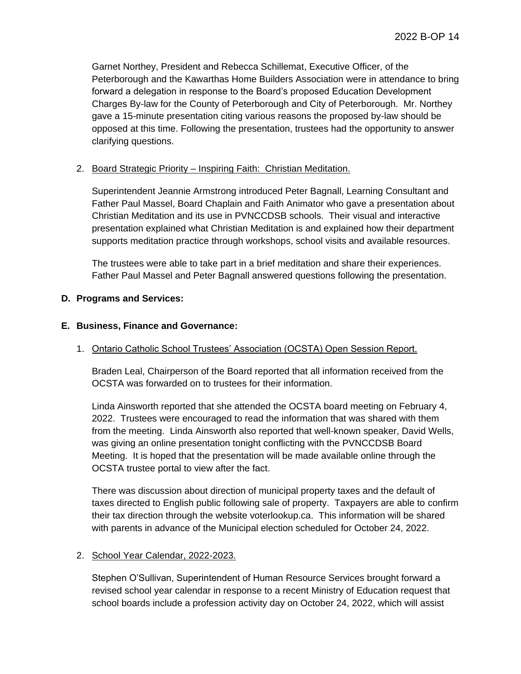Garnet Northey, President and Rebecca Schillemat, Executive Officer, of the Peterborough and the Kawarthas Home Builders Association were in attendance to bring forward a delegation in response to the Board's proposed Education Development Charges By-law for the County of Peterborough and City of Peterborough. Mr. Northey gave a 15-minute presentation citing various reasons the proposed by-law should be opposed at this time. Following the presentation, trustees had the opportunity to answer clarifying questions.

#### 2. Board Strategic Priority – Inspiring Faith: Christian Meditation.

Superintendent Jeannie Armstrong introduced Peter Bagnall, Learning Consultant and Father Paul Massel, Board Chaplain and Faith Animator who gave a presentation about Christian Meditation and its use in PVNCCDSB schools. Their visual and interactive presentation explained what Christian Meditation is and explained how their department supports meditation practice through workshops, school visits and available resources.

The trustees were able to take part in a brief meditation and share their experiences. Father Paul Massel and Peter Bagnall answered questions following the presentation.

#### **D. Programs and Services:**

#### **E. Business, Finance and Governance:**

## 1. Ontario Catholic School Trustees' Association (OCSTA) Open Session Report.

Braden Leal, Chairperson of the Board reported that all information received from the OCSTA was forwarded on to trustees for their information.

Linda Ainsworth reported that she attended the OCSTA board meeting on February 4, 2022. Trustees were encouraged to read the information that was shared with them from the meeting. Linda Ainsworth also reported that well-known speaker, David Wells, was giving an online presentation tonight conflicting with the PVNCCDSB Board Meeting. It is hoped that the presentation will be made available online through the OCSTA trustee portal to view after the fact.

There was discussion about direction of municipal property taxes and the default of taxes directed to English public following sale of property. Taxpayers are able to confirm their tax direction through the website voterlookup.ca. This information will be shared with parents in advance of the Municipal election scheduled for October 24, 2022.

## 2. School Year Calendar, 2022-2023.

Stephen O'Sullivan, Superintendent of Human Resource Services brought forward a revised school year calendar in response to a recent Ministry of Education request that school boards include a profession activity day on October 24, 2022, which will assist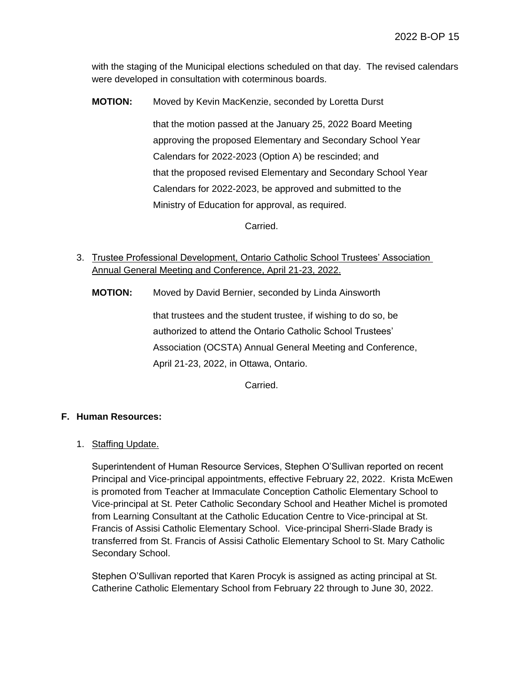with the staging of the Municipal elections scheduled on that day. The revised calendars were developed in consultation with coterminous boards.

**MOTION:** Moved by Kevin MacKenzie, seconded by Loretta Durst

that the motion passed at the January 25, 2022 Board Meeting approving the proposed Elementary and Secondary School Year Calendars for 2022-2023 (Option A) be rescinded; and that the proposed revised Elementary and Secondary School Year Calendars for 2022-2023, be approved and submitted to the Ministry of Education for approval, as required.

Carried.

3. Trustee Professional Development, Ontario Catholic School Trustees' Association Annual General Meeting and Conference, April 21-23, 2022.

**MOTION:** Moved by David Bernier, seconded by Linda Ainsworth

that trustees and the student trustee, if wishing to do so, be authorized to attend the Ontario Catholic School Trustees' Association (OCSTA) Annual General Meeting and Conference, April 21-23, 2022, in Ottawa, Ontario.

Carried.

# **F. Human Resources:**

## 1. Staffing Update.

Superintendent of Human Resource Services, Stephen O'Sullivan reported on recent Principal and Vice-principal appointments, effective February 22, 2022. Krista McEwen is promoted from Teacher at Immaculate Conception Catholic Elementary School to Vice-principal at St. Peter Catholic Secondary School and Heather Michel is promoted from Learning Consultant at the Catholic Education Centre to Vice-principal at St. Francis of Assisi Catholic Elementary School. Vice-principal Sherri-Slade Brady is transferred from St. Francis of Assisi Catholic Elementary School to St. Mary Catholic Secondary School.

Stephen O'Sullivan reported that Karen Procyk is assigned as acting principal at St. Catherine Catholic Elementary School from February 22 through to June 30, 2022.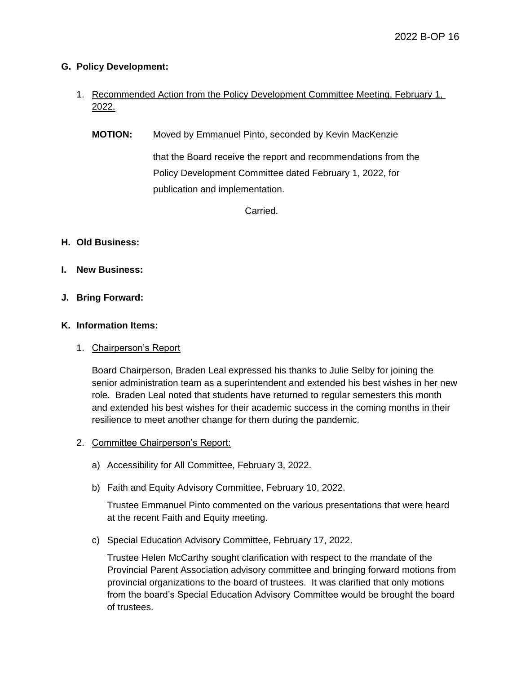## **G. Policy Development:**

- 1. Recommended Action from the Policy Development Committee Meeting, February 1, 2022.
	- **MOTION:** Moved by Emmanuel Pinto, seconded by Kevin MacKenzie that the Board receive the report and recommendations from the Policy Development Committee dated February 1, 2022, for publication and implementation.

Carried.

## **H. Old Business:**

- **I. New Business:**
- **J. Bring Forward:**

## **K. Information Items:**

## 1. Chairperson's Report

Board Chairperson, Braden Leal expressed his thanks to Julie Selby for joining the senior administration team as a superintendent and extended his best wishes in her new role. Braden Leal noted that students have returned to regular semesters this month and extended his best wishes for their academic success in the coming months in their resilience to meet another change for them during the pandemic.

## 2. Committee Chairperson's Report:

- a) Accessibility for All Committee, February 3, 2022.
- b) Faith and Equity Advisory Committee, February 10, 2022.

Trustee Emmanuel Pinto commented on the various presentations that were heard at the recent Faith and Equity meeting.

c) Special Education Advisory Committee, February 17, 2022.

Trustee Helen McCarthy sought clarification with respect to the mandate of the Provincial Parent Association advisory committee and bringing forward motions from provincial organizations to the board of trustees. It was clarified that only motions from the board's Special Education Advisory Committee would be brought the board of trustees.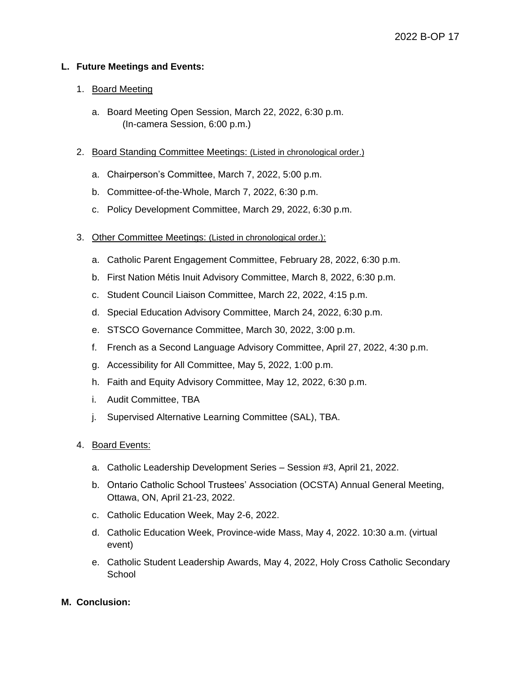## **L. Future Meetings and Events:**

## 1. Board Meeting

- a. Board Meeting Open Session, March 22, 2022, 6:30 p.m. (In-camera Session, 6:00 p.m.)
- 2. Board Standing Committee Meetings: (Listed in chronological order.)
	- a. Chairperson's Committee, March 7, 2022, 5:00 p.m.
	- b. Committee-of-the-Whole, March 7, 2022, 6:30 p.m.
	- c. Policy Development Committee, March 29, 2022, 6:30 p.m.
- 3. Other Committee Meetings: (Listed in chronological order.):
	- a. Catholic Parent Engagement Committee, February 28, 2022, 6:30 p.m.
	- b. First Nation Métis Inuit Advisory Committee, March 8, 2022, 6:30 p.m.
	- c. Student Council Liaison Committee, March 22, 2022, 4:15 p.m.
	- d. Special Education Advisory Committee, March 24, 2022, 6:30 p.m.
	- e. STSCO Governance Committee, March 30, 2022, 3:00 p.m.
	- f. French as a Second Language Advisory Committee, April 27, 2022, 4:30 p.m.
	- g. Accessibility for All Committee, May 5, 2022, 1:00 p.m.
	- h. Faith and Equity Advisory Committee, May 12, 2022, 6:30 p.m.
	- i. Audit Committee, TBA
	- j. Supervised Alternative Learning Committee (SAL), TBA.
- 4. Board Events:
	- a. Catholic Leadership Development Series Session #3, April 21, 2022.
	- b. Ontario Catholic School Trustees' Association (OCSTA) Annual General Meeting, Ottawa, ON, April 21-23, 2022.
	- c. Catholic Education Week, May 2-6, 2022.
	- d. Catholic Education Week, Province-wide Mass, May 4, 2022. 10:30 a.m. (virtual event)
	- e. Catholic Student Leadership Awards, May 4, 2022, Holy Cross Catholic Secondary **School**

## **M. Conclusion:**